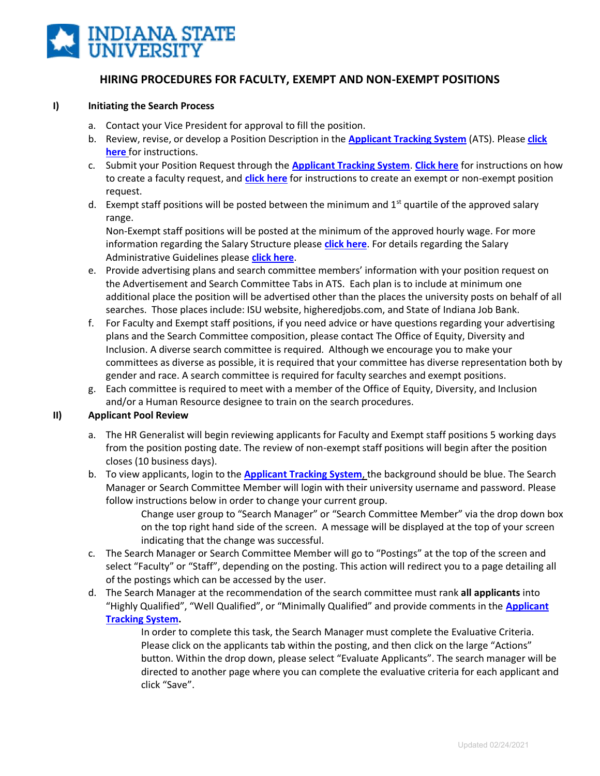

# **HIRING PROCEDURES FOR FACULTY, EXEMPT AND NON-EXEMPT POSITIONS**

#### **I) Initiating the Search Process**

- a. Contact your Vice President for approval to fill the position.
- b. Review, revise, or develop a Position Description in the **[Applicant Tracking System](https://jobs.indstate.edu/hr/login)** (ATS). Please **[click](https://www.indstate.edu/sites/default/files/media/human-resources/docs/isu-position-management-quick-steps.pdf) [here](https://www.indstate.edu/sites/default/files/media/human-resources/docs/isu-position-management-quick-steps.pdf)** for instructions.
- c. Submit your Position Request through the **[Applicant Tracking System](https://jobs.indstate.edu/hr/login)**. **[Click here](https://www.indstate.edu/sites/default/files/media/human-resources/docs/isu-quick-steps-for-creating-a-faculty-posting.pdf)** for instructions on how to create a faculty request, and **[click here](https://www.indstate.edu/sites/default/files/media/human-resources/docs/isu-quick-steps-for-creating-a-staff-posting_0.pdf)** for instructions to create an exempt or non-exempt position request.
- d. Exempt staff positions will be posted between the minimum and  $1<sup>st</sup>$  quartile of the approved salary range.

Non-Exempt staff positions will be posted at the minimum of the approved hourly wage. For more information regarding the Salary Structure please **[click here](https://www.indstate.edu/sites/default/files/media/human-resources/docs/staff-compensation-plan-effective-january-1-2020_1.pdf)**. For details regarding the Salary Administrative Guidelines please **[click here](https://www.indstate.edu/humanres/compensation)**.

- e. Provide advertising plans and search committee members' information with your position request on the Advertisement and Search Committee Tabs in ATS. Each plan is to include at minimum one additional place the position will be advertised other than the places the university posts on behalf of all searches. Those places include: ISU website, higheredjobs.com, and State of Indiana Job Bank.
- f. For Faculty and Exempt staff positions, if you need advice or have questions regarding your advertising plans and the Search Committee composition, please contact The Office of Equity, Diversity and Inclusion. A diverse search committee is required. Although we encourage you to make your committees as diverse as possible, it is required that your committee has diverse representation both by gender and race. A search committee is required for faculty searches and exempt positions.
- g. Each committee is required to meet with a member of the Office of Equity, Diversity, and Inclusion and/or a Human Resource designee to train on the search procedures.

### **II) Applicant Pool Review**

- a. The HR Generalist will begin reviewing applicants for Faculty and Exempt staff positions 5 working days from the position posting date. The review of non-exempt staff positions will begin after the position closes (10 business days).
- b. To view applicants, login to the **[Applicant Tracking System](https://jobs.indstate.edu/hr/login)**, the background should be blue. The Search Manager or Search Committee Member will login with their university username and password. Please follow instructions below in order to change your current group.

Change user group to "Search Manager" or "Search Committee Member" via the drop down box on the top right hand side of the screen. A message will be displayed at the top of your screen indicating that the change was successful.

- c. The Search Manager or Search Committee Member will go to "Postings" at the top of the screen and select "Faculty" or "Staff", depending on the posting. This action will redirect you to a page detailing all of the postings which can be accessed by the user.
- d. The Search Manager at the recommendation of the search committee must rank **all applicants** into "Highly Qualified", "Well Qualified", or "Minimally Qualified" and provide comments in the **[Applicant](https://jobs.indstate.edu/hr/login) [Tracking System.](https://jobs.indstate.edu/hr/login)**

In order to complete this task, the Search Manager must complete the Evaluative Criteria. Please click on the applicants tab within the posting, and then click on the large "Actions" button. Within the drop down, please select "Evaluate Applicants". The search manager will be directed to another page where you can complete the evaluative criteria for each applicant and click "Save".